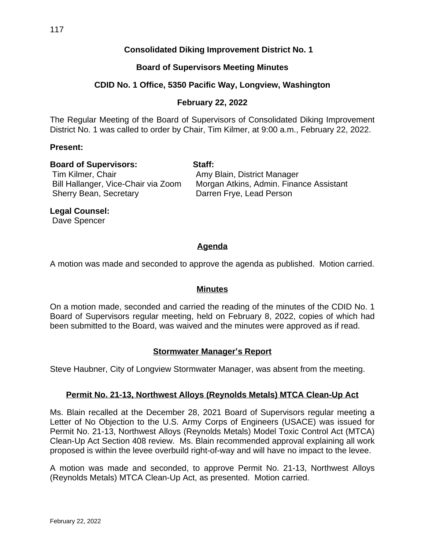117

## **Consolidated Diking Improvement District No. 1**

#### **Board of Supervisors Meeting Minutes**

#### **CDID No. 1 Office, 5350 Pacific Way, Longview, Washington**

#### **February 22, 2022**

The Regular Meeting of the Board of Supervisors of Consolidated Diking Improvement District No. 1 was called to order by Chair, Tim Kilmer, at 9:00 a.m., February 22, 2022.

#### **Present:**

#### **Board of Supervisors: Staff:**

# Tim Kilmer, Chair **Amy Blain, District Manager** Sherry Bean, Secretary Darren Frye, Lead Person

Bill Hallanger, Vice-Chair via Zoom Morgan Atkins, Admin. Finance Assistant

**Legal Counsel:**

Dave Spencer

# **Agenda**

A motion was made and seconded to approve the agenda as published. Motion carried.

#### **Minutes**

On a motion made, seconded and carried the reading of the minutes of the CDID No. 1 Board of Supervisors regular meeting, held on February 8, 2022, copies of which had been submitted to the Board, was waived and the minutes were approved as if read.

#### **Stormwater Manager's Report**

Steve Haubner, City of Longview Stormwater Manager, was absent from the meeting.

#### **Permit No. 21-13, Northwest Alloys (Reynolds Metals) MTCA Clean-Up Act**

Ms. Blain recalled at the December 28, 2021 Board of Supervisors regular meeting a Letter of No Objection to the U.S. Army Corps of Engineers (USACE) was issued for Permit No. 21-13, Northwest Alloys (Reynolds Metals) Model Toxic Control Act (MTCA) Clean-Up Act Section 408 review. Ms. Blain recommended approval explaining all work proposed is within the levee overbuild right-of-way and will have no impact to the levee.

A motion was made and seconded, to approve Permit No. 21-13, Northwest Alloys (Reynolds Metals) MTCA Clean-Up Act, as presented. Motion carried.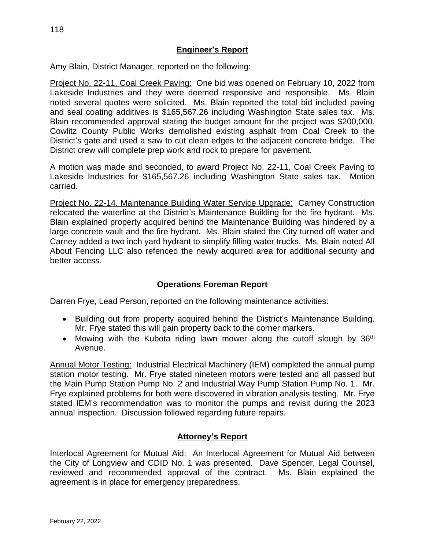#### **Engineer's Report**

Amy Blain, District Manager, reported on the following:

Project No. 22-11, Coal Creek Paving: One bid was opened on February 10, 2022 from Lakeside Industries and they were deemed responsive and responsible. Ms. Blain noted several quotes were solicited. Ms. Blain reported the total bid included paving and seal coating additives is \$165,567.26 including Washington State sales tax. Ms. Blain recommended approval stating the budget amount for the project was \$200,000. Cowlitz County Public Works demolished existing asphalt from Coal Creek to the District's gate and used a saw to cut clean edges to the adjacent concrete bridge. The District crew will complete prep work and rock to prepare for pavement.

A motion was made and seconded, to award Project No. 22-11, Coal Creek Paving to Lakeside Industries for \$165,567.26 including Washington State sales tax. Motion carried.

Project No. 22-14, Maintenance Building Water Service Upgrade: Carney Construction relocated the waterline at the District's Maintenance Building for the fire hydrant. Ms. Blain explained property acquired behind the Maintenance Building was hindered by a large concrete vault and the fire hydrant. Ms. Blain stated the City turned off water and Carney added a two inch yard hydrant to simplify filling water trucks. Ms. Blain noted All About Fencing LLC also refenced the newly acquired area for additional security and better access.

## **Operations Foreman Report**

Darren Frye, Lead Person, reported on the following maintenance activities:

- Building out from property acquired behind the District's Maintenance Building. Mr. Frye stated this will gain property back to the corner markers.
- Mowing with the Kubota riding lawn mower along the cutoff slough by 36<sup>th</sup> Avenue.

Annual Motor Testing: Industrial Electrical Machinery (IEM) completed the annual pump station motor testing. Mr. Frye stated nineteen motors were tested and all passed but the Main Pump Station Pump No. 2 and Industrial Way Pump Station Pump No. 1. Mr. Frye explained problems for both were discovered in vibration analysis testing. Mr. Frye stated IEM's recommendation was to monitor the pumps and revisit during the 2023 annual inspection. Discussion followed regarding future repairs.

#### **Attorney's Report**

Interlocal Agreement for Mutual Aid: An Interlocal Agreement for Mutual Aid between the City of Longview and CDID No. 1 was presented. Dave Spencer, Legal Counsel, reviewed and recommended approval of the contract. Ms. Blain explained the agreement is in place for emergency preparedness.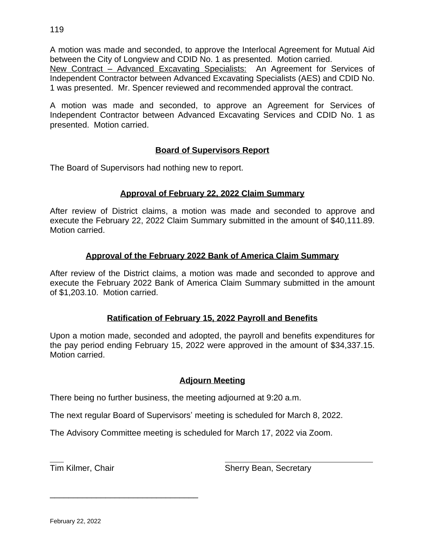A motion was made and seconded, to approve the Interlocal Agreement for Mutual Aid between the City of Longview and CDID No. 1 as presented. Motion carried.

New Contract - Advanced Excavating Specialists: An Agreement for Services of Independent Contractor between Advanced Excavating Specialists (AES) and CDID No. 1 was presented. Mr. Spencer reviewed and recommended approval the contract.

A motion was made and seconded, to approve an Agreement for Services of Independent Contractor between Advanced Excavating Services and CDID No. 1 as presented. Motion carried.

### **Board of Supervisors Report**

The Board of Supervisors had nothing new to report.

#### **Approval of February 22, 2022 Claim Summary**

After review of District claims, a motion was made and seconded to approve and execute the February 22, 2022 Claim Summary submitted in the amount of \$40,111.89. Motion carried.

#### **Approval of the February 2022 Bank of America Claim Summary**

After review of the District claims, a motion was made and seconded to approve and execute the February 2022 Bank of America Claim Summary submitted in the amount of \$1,203.10. Motion carried.

#### **Ratification of February 15, 2022 Payroll and Benefits**

Upon a motion made, seconded and adopted, the payroll and benefits expenditures for the pay period ending February 15, 2022 were approved in the amount of \$34,337.15. Motion carried.

#### **Adjourn Meeting**

There being no further business, the meeting adjourned at 9:20 a.m.

The next regular Board of Supervisors' meeting is scheduled for March 8, 2022.

The Advisory Committee meeting is scheduled for March 17, 2022 via Zoom.

 $\overline{a}$ 

\_\_\_\_\_\_\_\_\_\_\_\_\_\_\_\_\_\_\_\_\_\_\_\_\_\_\_\_\_\_\_\_

**Tim Kilmer, Chair Sherry Bean, Secretary Sherry Bean, Secretary**